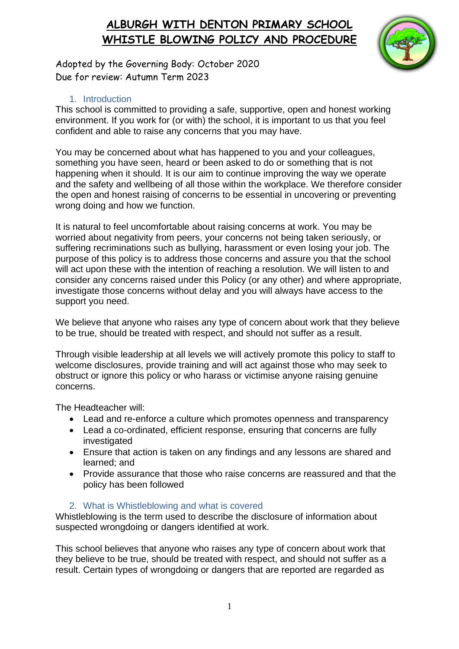

Adopted by the Governing Body: October 2020 Due for review: Autumn Term 2023

#### 1. Introduction

This school is committed to providing a safe, supportive, open and honest working environment. If you work for (or with) the school, it is important to us that you feel confident and able to raise any concerns that you may have.

You may be concerned about what has happened to you and your colleagues, something you have seen, heard or been asked to do or something that is not happening when it should. It is our aim to continue improving the way we operate and the safety and wellbeing of all those within the workplace. We therefore consider the open and honest raising of concerns to be essential in uncovering or preventing wrong doing and how we function.

It is natural to feel uncomfortable about raising concerns at work. You may be worried about negativity from peers, your concerns not being taken seriously, or suffering recriminations such as bullying, harassment or even losing your job. The purpose of this policy is to address those concerns and assure you that the school will act upon these with the intention of reaching a resolution. We will listen to and consider any concerns raised under this Policy (or any other) and where appropriate, investigate those concerns without delay and you will always have access to the support you need.

We believe that anyone who raises any type of concern about work that they believe to be true, should be treated with respect, and should not suffer as a result.

Through visible leadership at all levels we will actively promote this policy to staff to welcome disclosures, provide training and will act against those who may seek to obstruct or ignore this policy or who harass or victimise anyone raising genuine concerns.

The Headteacher will:

- Lead and re-enforce a culture which promotes openness and transparency
- Lead a co-ordinated, efficient response, ensuring that concerns are fully investigated
- Ensure that action is taken on any findings and any lessons are shared and learned; and
- Provide assurance that those who raise concerns are reassured and that the policy has been followed

#### 2. What is Whistleblowing and what is covered

Whistleblowing is the term used to describe the disclosure of information about suspected wrongdoing or dangers identified at work.

This school believes that anyone who raises any type of concern about work that they believe to be true, should be treated with respect, and should not suffer as a result. Certain types of wrongdoing or dangers that are reported are regarded as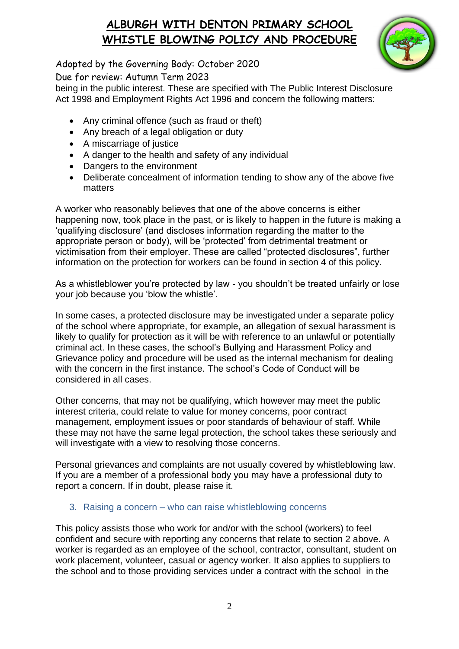

Adopted by the Governing Body: October 2020 Due for review: Autumn Term 2023

being in the public interest. These are specified with The Public Interest Disclosure Act 1998 and Employment Rights Act 1996 and concern the following matters:

- Any criminal offence (such as fraud or theft)
- Any breach of a legal obligation or duty
- A miscarriage of justice
- A danger to the health and safety of any individual
- Dangers to the environment
- Deliberate concealment of information tending to show any of the above five matters

A worker who reasonably believes that one of the above concerns is either happening now, took place in the past, or is likely to happen in the future is making a 'qualifying disclosure' (and discloses information regarding the matter to the appropriate person or body), will be 'protected' from detrimental treatment or victimisation from their employer. These are called "protected disclosures", further information on the protection for workers can be found in section 4 of this policy.

As a whistleblower you're protected by law - you shouldn't be treated unfairly or lose your job because you 'blow the whistle'.

In some cases, a protected disclosure may be investigated under a separate policy of the school where appropriate, for example, an allegation of sexual harassment is likely to qualify for protection as it will be with reference to an unlawful or potentially criminal act. In these cases, the school's Bullying and Harassment Policy and Grievance policy and procedure will be used as the internal mechanism for dealing with the concern in the first instance. The school's Code of Conduct will be considered in all cases.

Other concerns, that may not be qualifying, which however may meet the public interest criteria, could relate to value for money concerns, poor contract management, employment issues or poor standards of behaviour of staff. While these may not have the same legal protection, the school takes these seriously and will investigate with a view to resolving those concerns.

Personal grievances and complaints are not usually covered by whistleblowing law. If you are a member of a professional body you may have a professional duty to report a concern. If in doubt, please raise it.

#### 3. Raising a concern – who can raise whistleblowing concerns

This policy assists those who work for and/or with the school (workers) to feel confident and secure with reporting any concerns that relate to section 2 above. A worker is regarded as an employee of the school, contractor, consultant, student on work placement, volunteer, casual or agency worker. It also applies to suppliers to the school and to those providing services under a contract with the school in the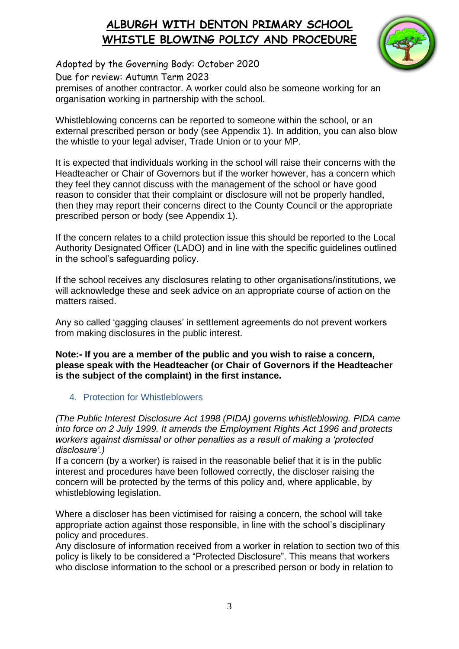

Adopted by the Governing Body: October 2020 Due for review: Autumn Term 2023 premises of another contractor. A worker could also be someone working for an

organisation working in partnership with the school.

Whistleblowing concerns can be reported to someone within the school, or an external prescribed person or body (see Appendix 1). In addition, you can also blow the whistle to your legal adviser, Trade Union or to your MP.

It is expected that individuals working in the school will raise their concerns with the Headteacher or Chair of Governors but if the worker however, has a concern which they feel they cannot discuss with the management of the school or have good reason to consider that their complaint or disclosure will not be properly handled, then they may report their concerns direct to the County Council or the appropriate prescribed person or body (see Appendix 1).

If the concern relates to a child protection issue this should be reported to the Local Authority Designated Officer (LADO) and in line with the specific guidelines outlined in the school's safeguarding policy.

If the school receives any disclosures relating to other organisations/institutions, we will acknowledge these and seek advice on an appropriate course of action on the matters raised.

Any so called 'gagging clauses' in settlement agreements do not prevent workers from making disclosures in the public interest.

**Note:- If you are a member of the public and you wish to raise a concern, please speak with the Headteacher (or Chair of Governors if the Headteacher is the subject of the complaint) in the first instance.** 

#### 4. Protection for Whistleblowers

*(The Public Interest Disclosure Act 1998 (PIDA) governs whistleblowing. PIDA came into force on 2 July 1999. It amends the Employment Rights Act 1996 and protects workers against dismissal or other penalties as a result of making a 'protected disclosure'.)* 

If a concern (by a worker) is raised in the reasonable belief that it is in the public interest and procedures have been followed correctly, the discloser raising the concern will be protected by the terms of this policy and, where applicable, by whistleblowing legislation.

Where a discloser has been victimised for raising a concern, the school will take appropriate action against those responsible, in line with the school's disciplinary policy and procedures.

Any disclosure of information received from a worker in relation to section two of this policy is likely to be considered a "Protected Disclosure". This means that workers who disclose information to the school or a prescribed person or body in relation to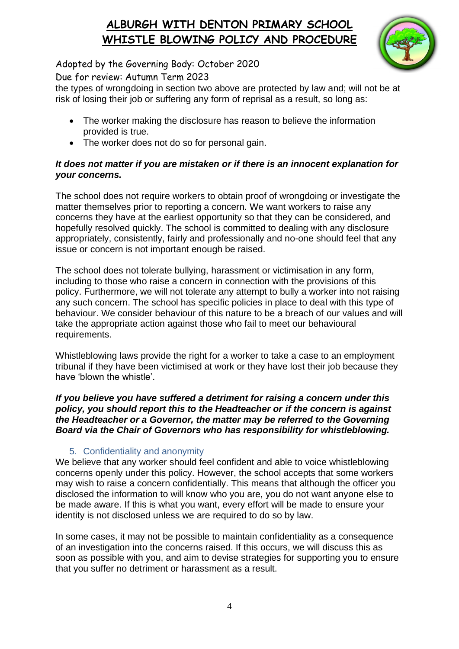

Adopted by the Governing Body: October 2020

Due for review: Autumn Term 2023

the types of wrongdoing in section two above are protected by law and; will not be at risk of losing their job or suffering any form of reprisal as a result, so long as:

- The worker making the disclosure has reason to believe the information provided is true.
- The worker does not do so for personal gain.

#### *It does not matter if you are mistaken or if there is an innocent explanation for your concerns.*

The school does not require workers to obtain proof of wrongdoing or investigate the matter themselves prior to reporting a concern. We want workers to raise any concerns they have at the earliest opportunity so that they can be considered, and hopefully resolved quickly. The school is committed to dealing with any disclosure appropriately, consistently, fairly and professionally and no-one should feel that any issue or concern is not important enough be raised.

The school does not tolerate bullying, harassment or victimisation in any form, including to those who raise a concern in connection with the provisions of this policy. Furthermore, we will not tolerate any attempt to bully a worker into not raising any such concern. The school has specific policies in place to deal with this type of behaviour. We consider behaviour of this nature to be a breach of our values and will take the appropriate action against those who fail to meet our behavioural requirements.

Whistleblowing laws provide the right for a worker to take a case to an employment tribunal if they have been victimised at work or they have lost their job because they have 'blown the whistle'.

*If you believe you have suffered a detriment for raising a concern under this policy, you should report this to the Headteacher or if the concern is against the Headteacher or a Governor, the matter may be referred to the Governing Board via the Chair of Governors who has responsibility for whistleblowing.* 

### 5. Confidentiality and anonymity

We believe that any worker should feel confident and able to voice whistleblowing concerns openly under this policy. However, the school accepts that some workers may wish to raise a concern confidentially. This means that although the officer you disclosed the information to will know who you are, you do not want anyone else to be made aware. If this is what you want, every effort will be made to ensure your identity is not disclosed unless we are required to do so by law.

In some cases, it may not be possible to maintain confidentiality as a consequence of an investigation into the concerns raised. If this occurs, we will discuss this as soon as possible with you, and aim to devise strategies for supporting you to ensure that you suffer no detriment or harassment as a result.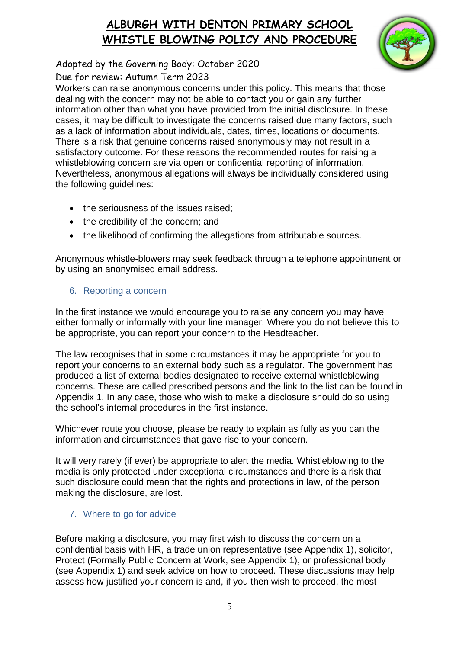

Adopted by the Governing Body: October 2020

Due for review: Autumn Term 2023

Workers can raise anonymous concerns under this policy. This means that those dealing with the concern may not be able to contact you or gain any further information other than what you have provided from the initial disclosure. In these cases, it may be difficult to investigate the concerns raised due many factors, such as a lack of information about individuals, dates, times, locations or documents. There is a risk that genuine concerns raised anonymously may not result in a satisfactory outcome. For these reasons the recommended routes for raising a whistleblowing concern are via open or confidential reporting of information. Nevertheless, anonymous allegations will always be individually considered using the following guidelines:

- the seriousness of the issues raised:
- the credibility of the concern; and
- the likelihood of confirming the allegations from attributable sources.

Anonymous whistle-blowers may seek feedback through a telephone appointment or by using an anonymised email address.

### 6. Reporting a concern

In the first instance we would encourage you to raise any concern you may have either formally or informally with your line manager. Where you do not believe this to be appropriate, you can report your concern to the Headteacher.

The law recognises that in some circumstances it may be appropriate for you to report your concerns to an external body such as a regulator. The government has produced a list of external bodies designated to receive external whistleblowing concerns. These are called prescribed persons and the link to the list can be found in Appendix 1. In any case, those who wish to make a disclosure should do so using the school's internal procedures in the first instance.

Whichever route you choose, please be ready to explain as fully as you can the information and circumstances that gave rise to your concern.

It will very rarely (if ever) be appropriate to alert the media. Whistleblowing to the media is only protected under exceptional circumstances and there is a risk that such disclosure could mean that the rights and protections in law, of the person making the disclosure, are lost.

### 7. Where to go for advice

Before making a disclosure, you may first wish to discuss the concern on a confidential basis with HR, a trade union representative (see Appendix 1), solicitor, Protect (Formally Public Concern at Work, see Appendix 1), or professional body (see Appendix 1) and seek advice on how to proceed. These discussions may help assess how justified your concern is and, if you then wish to proceed, the most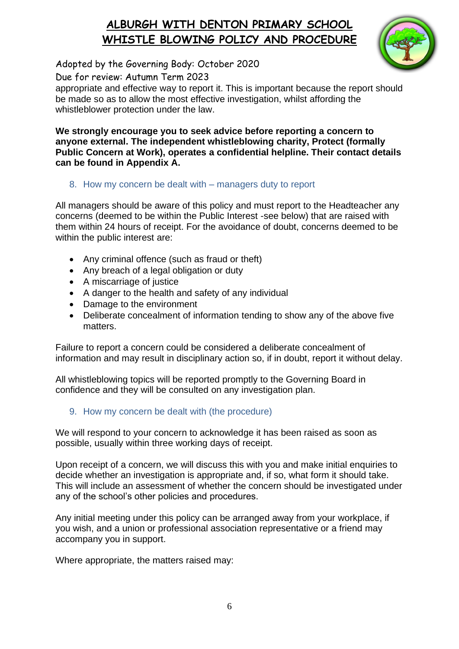

Adopted by the Governing Body: October 2020

Due for review: Autumn Term 2023

appropriate and effective way to report it. This is important because the report should be made so as to allow the most effective investigation, whilst affording the whistleblower protection under the law.

**We strongly encourage you to seek advice before reporting a concern to anyone external. The independent whistleblowing charity, Protect (formally Public Concern at Work), operates a confidential helpline. Their contact details can be found in Appendix A.** 

#### 8. How my concern be dealt with – managers duty to report

All managers should be aware of this policy and must report to the Headteacher any concerns (deemed to be within the Public Interest -see below) that are raised with them within 24 hours of receipt. For the avoidance of doubt, concerns deemed to be within the public interest are:

- Any criminal offence (such as fraud or theft)
- Any breach of a legal obligation or duty
- A miscarriage of justice
- A danger to the health and safety of any individual
- Damage to the environment
- Deliberate concealment of information tending to show any of the above five matters.

Failure to report a concern could be considered a deliberate concealment of information and may result in disciplinary action so, if in doubt, report it without delay.

All whistleblowing topics will be reported promptly to the Governing Board in confidence and they will be consulted on any investigation plan.

#### 9. How my concern be dealt with (the procedure)

We will respond to your concern to acknowledge it has been raised as soon as possible, usually within three working days of receipt.

Upon receipt of a concern, we will discuss this with you and make initial enquiries to decide whether an investigation is appropriate and, if so, what form it should take. This will include an assessment of whether the concern should be investigated under any of the school's other policies and procedures.

Any initial meeting under this policy can be arranged away from your workplace, if you wish, and a union or professional association representative or a friend may accompany you in support.

Where appropriate, the matters raised may: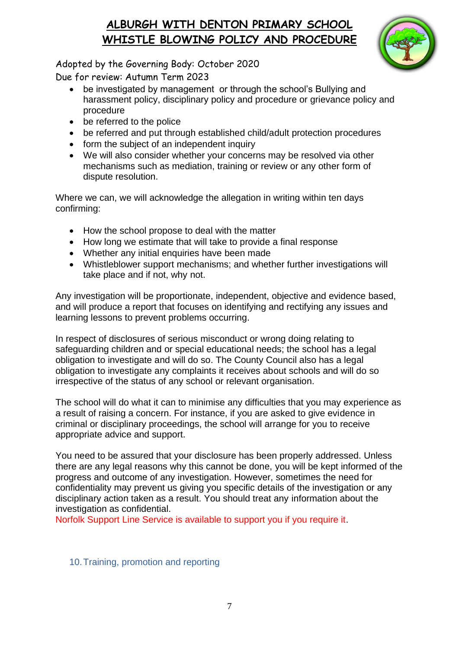

Adopted by the Governing Body: October 2020 Due for review: Autumn Term 2023

- be investigated by management or through the school's Bullying and harassment policy, disciplinary policy and procedure or grievance policy and procedure
- be referred to the police
- be referred and put through established child/adult protection procedures
- form the subject of an independent inquiry
- We will also consider whether your concerns may be resolved via other mechanisms such as mediation, training or review or any other form of dispute resolution.

Where we can, we will acknowledge the allegation in writing within ten days confirming:

- How the school propose to deal with the matter
- How long we estimate that will take to provide a final response
- Whether any initial enquiries have been made
- Whistleblower support mechanisms; and whether further investigations will take place and if not, why not.

Any investigation will be proportionate, independent, objective and evidence based, and will produce a report that focuses on identifying and rectifying any issues and learning lessons to prevent problems occurring.

In respect of disclosures of serious misconduct or wrong doing relating to safeguarding children and or special educational needs; the school has a legal obligation to investigate and will do so. The County Council also has a legal obligation to investigate any complaints it receives about schools and will do so irrespective of the status of any school or relevant organisation.

The school will do what it can to minimise any difficulties that you may experience as a result of raising a concern. For instance, if you are asked to give evidence in criminal or disciplinary proceedings, the school will arrange for you to receive appropriate advice and support.

You need to be assured that your disclosure has been properly addressed. Unless there are any legal reasons why this cannot be done, you will be kept informed of the progress and outcome of any investigation. However, sometimes the need for confidentiality may prevent us giving you specific details of the investigation or any disciplinary action taken as a result. You should treat any information about the investigation as confidential.

Norfolk Support Line Service is available to support you if you require it.

#### 10.Training, promotion and reporting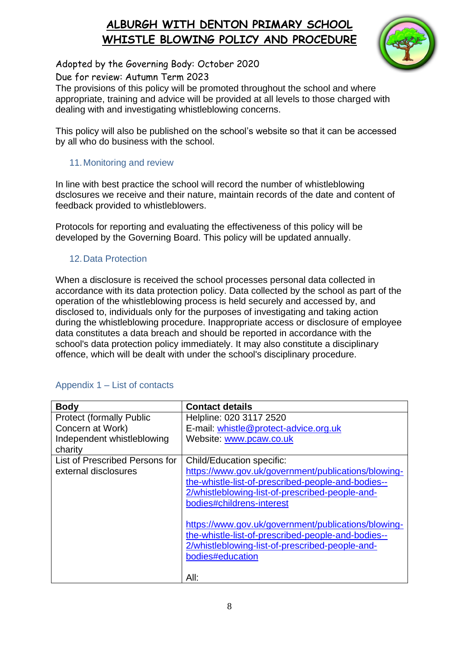

Adopted by the Governing Body: October 2020

Due for review: Autumn Term 2023

The provisions of this policy will be promoted throughout the school and where appropriate, training and advice will be provided at all levels to those charged with dealing with and investigating whistleblowing concerns.

This policy will also be published on the school's website so that it can be accessed by all who do business with the school.

### 11.Monitoring and review

In line with best practice the school will record the number of whistleblowing dsclosures we receive and their nature, maintain records of the date and content of feedback provided to whistleblowers.

Protocols for reporting and evaluating the effectiveness of this policy will be developed by the Governing Board. This policy will be updated annually.

### 12.Data Protection

When a disclosure is received the school processes personal data collected in accordance with its data protection policy. Data collected by the school as part of the operation of the whistleblowing process is held securely and accessed by, and disclosed to, individuals only for the purposes of investigating and taking action during the whistleblowing procedure. Inappropriate access or disclosure of employee data constitutes a data breach and should be reported in accordance with the school's data protection policy immediately. It may also constitute a disciplinary offence, which will be dealt with under the school's disciplinary procedure.

| <b>Body</b>                     | <b>Contact details</b>                              |
|---------------------------------|-----------------------------------------------------|
| <b>Protect (formally Public</b> | Helpline: 020 3117 2520                             |
| Concern at Work)                | E-mail: whistle@protect-advice.org.uk               |
| Independent whistleblowing      | Website: www.pcaw.co.uk                             |
| charity                         |                                                     |
| List of Prescribed Persons for  | <b>Child/Education specific:</b>                    |
| external disclosures            | https://www.gov.uk/government/publications/blowing- |
|                                 | the-whistle-list-of-prescribed-people-and-bodies--  |
|                                 | 2/whistleblowing-list-of-prescribed-people-and-     |
|                                 | bodies#childrens-interest                           |
|                                 |                                                     |
|                                 | https://www.gov.uk/government/publications/blowing- |
|                                 | the-whistle-list-of-prescribed-people-and-bodies--  |
|                                 | 2/whistleblowing-list-of-prescribed-people-and-     |
|                                 | bodies#education                                    |
|                                 |                                                     |
|                                 | All:                                                |

### Appendix 1 – List of contacts